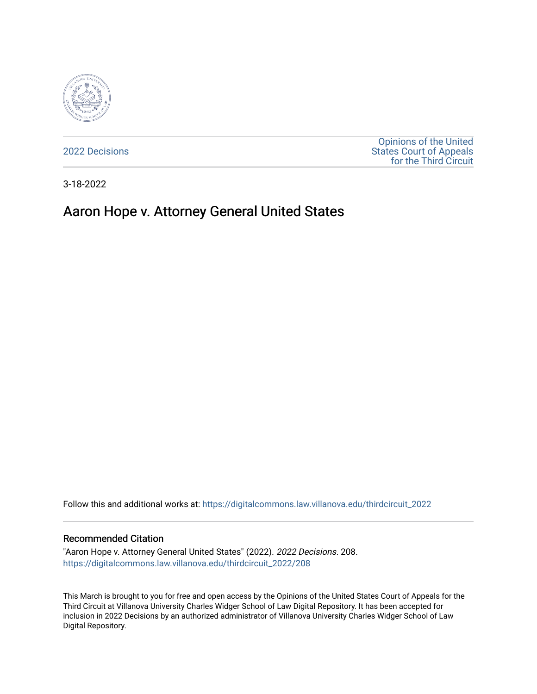

[2022 Decisions](https://digitalcommons.law.villanova.edu/thirdcircuit_2022)

[Opinions of the United](https://digitalcommons.law.villanova.edu/thirdcircuit)  [States Court of Appeals](https://digitalcommons.law.villanova.edu/thirdcircuit)  [for the Third Circuit](https://digitalcommons.law.villanova.edu/thirdcircuit) 

3-18-2022

# Aaron Hope v. Attorney General United States

Follow this and additional works at: [https://digitalcommons.law.villanova.edu/thirdcircuit\\_2022](https://digitalcommons.law.villanova.edu/thirdcircuit_2022?utm_source=digitalcommons.law.villanova.edu%2Fthirdcircuit_2022%2F208&utm_medium=PDF&utm_campaign=PDFCoverPages) 

#### Recommended Citation

"Aaron Hope v. Attorney General United States" (2022). 2022 Decisions. 208. [https://digitalcommons.law.villanova.edu/thirdcircuit\\_2022/208](https://digitalcommons.law.villanova.edu/thirdcircuit_2022/208?utm_source=digitalcommons.law.villanova.edu%2Fthirdcircuit_2022%2F208&utm_medium=PDF&utm_campaign=PDFCoverPages)

This March is brought to you for free and open access by the Opinions of the United States Court of Appeals for the Third Circuit at Villanova University Charles Widger School of Law Digital Repository. It has been accepted for inclusion in 2022 Decisions by an authorized administrator of Villanova University Charles Widger School of Law Digital Repository.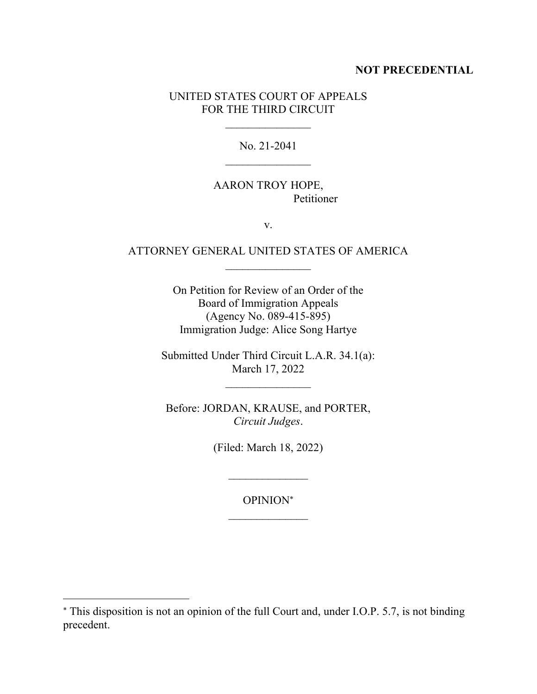### **NOT PRECEDENTIAL**

## UNITED STATES COURT OF APPEALS FOR THE THIRD CIRCUIT

No. 21-2041

# AARON TROY HOPE, Petitioner

v.

# ATTORNEY GENERAL UNITED STATES OF AMERICA  $\mathcal{L}_\text{max}$

On Petition for Review of an Order of the Board of Immigration Appeals (Agency No. 089-415-895) Immigration Judge: Alice Song Hartye

Submitted Under Third Circuit L.A.R. 34.1(a): March 17, 2022

Before: JORDAN, KRAUSE, and PORTER, *Circuit Judges*.

(Filed: March 18, 2022)

 $\mathcal{L}_\text{max}$ 

OPINION  $\mathcal{L}_\text{max}$ 

This disposition is not an opinion of the full Court and, under I.O.P. 5.7, is not binding precedent.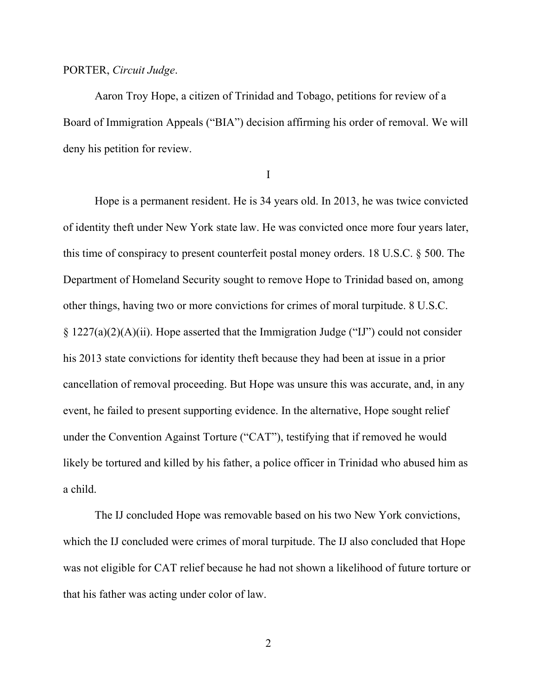#### PORTER, *Circuit Judge*.

Aaron Troy Hope, a citizen of Trinidad and Tobago, petitions for review of a Board of Immigration Appeals ("BIA") decision affirming his order of removal. We will deny his petition for review.

I

Hope is a permanent resident. He is 34 years old. In 2013, he was twice convicted of identity theft under New York state law. He was convicted once more four years later, this time of conspiracy to present counterfeit postal money orders. 18 U.S.C. § 500. The Department of Homeland Security sought to remove Hope to Trinidad based on, among other things, having two or more convictions for crimes of moral turpitude. 8 U.S.C.  $\S 1227(a)(2)(A)(ii)$ . Hope asserted that the Immigration Judge ("IJ") could not consider his 2013 state convictions for identity theft because they had been at issue in a prior cancellation of removal proceeding. But Hope was unsure this was accurate, and, in any event, he failed to present supporting evidence. In the alternative, Hope sought relief under the Convention Against Torture ("CAT"), testifying that if removed he would likely be tortured and killed by his father, a police officer in Trinidad who abused him as a child.

The IJ concluded Hope was removable based on his two New York convictions, which the IJ concluded were crimes of moral turpitude. The IJ also concluded that Hope was not eligible for CAT relief because he had not shown a likelihood of future torture or that his father was acting under color of law.

2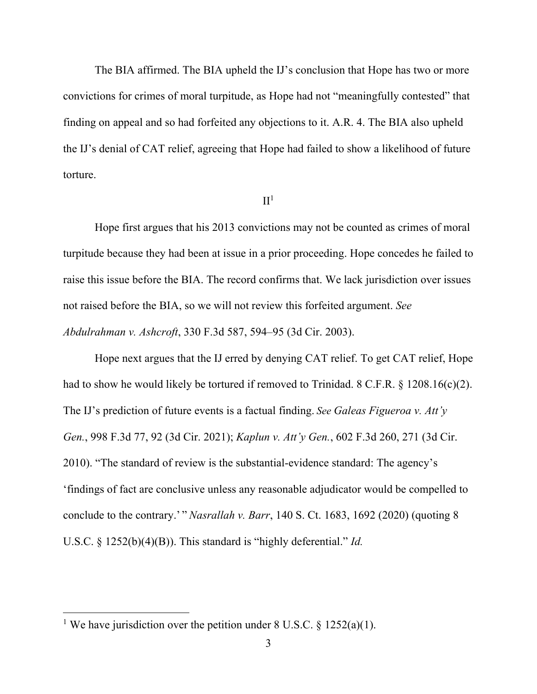The BIA affirmed. The BIA upheld the IJ's conclusion that Hope has two or more convictions for crimes of moral turpitude, as Hope had not "meaningfully contested" that finding on appeal and so had forfeited any objections to it. A.R. 4. The BIA also upheld the IJ's denial of CAT relief, agreeing that Hope had failed to show a likelihood of future torture.

### $II<sup>1</sup>$

Hope first argues that his 2013 convictions may not be counted as crimes of moral turpitude because they had been at issue in a prior proceeding. Hope concedes he failed to raise this issue before the BIA. The record confirms that. We lack jurisdiction over issues not raised before the BIA, so we will not review this forfeited argument. *See Abdulrahman v. Ashcroft*, 330 F.3d 587, 594–95 (3d Cir. 2003).

Hope next argues that the IJ erred by denying CAT relief. To get CAT relief, Hope had to show he would likely be tortured if removed to Trinidad. 8 C.F.R. § 1208.16(c)(2). The IJ's prediction of future events is a factual finding. *See Galeas Figueroa v. Att'y Gen.*, 998 F.3d 77, 92 (3d Cir. 2021); *Kaplun v. Att'y Gen.*, 602 F.3d 260, 271 (3d Cir. 2010). "The standard of review is the substantial-evidence standard: The agency's 'findings of fact are conclusive unless any reasonable adjudicator would be compelled to conclude to the contrary.' " *Nasrallah v. Barr*, 140 S. Ct. 1683, 1692 (2020) (quoting 8 U.S.C. § 1252(b)(4)(B)). This standard is "highly deferential." *Id.* 

<sup>&</sup>lt;sup>1</sup> We have jurisdiction over the petition under 8 U.S.C. § 1252(a)(1).